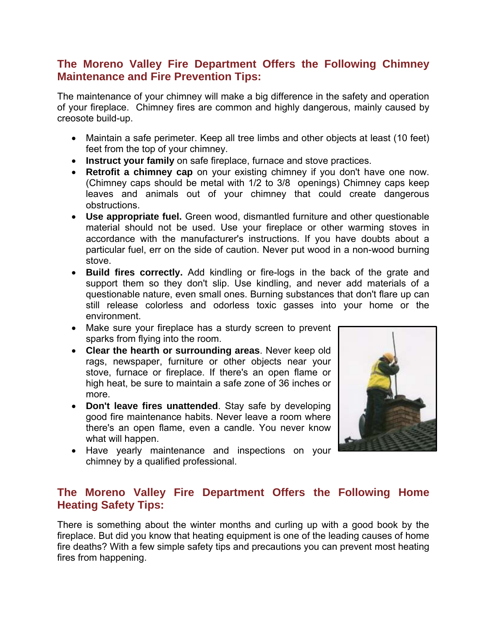## **The Moreno Valley Fire Department Offers the Following Chimney Maintenance and Fire Prevention Tips:**

The maintenance of your chimney will make a big difference in the safety and operation of your fireplace. Chimney fires are common and highly dangerous, mainly caused by creosote build-up.

- Maintain a safe perimeter. Keep all tree limbs and other objects at least (10 feet) feet from the top of your chimney.
- **Instruct your family** on safe fireplace, furnace and stove practices.
- **Retrofit a chimney cap** on your existing chimney if you don't have one now. (Chimney caps should be metal with 1/2 to 3/8 openings) Chimney caps keep leaves and animals out of your chimney that could create dangerous obstructions.
- **Use appropriate fuel.** Green wood, dismantled furniture and other questionable material should not be used. Use your fireplace or other warming stoves in accordance with the manufacturer's instructions. If you have doubts about a particular fuel, err on the side of caution. Never put wood in a non-wood burning stove.
- **Build fires correctly.** Add kindling or fire-logs in the back of the grate and support them so they don't slip. Use kindling, and never add materials of a questionable nature, even small ones. Burning substances that don't flare up can still release colorless and odorless toxic gasses into your home or the environment.
- Make sure your fireplace has a sturdy screen to prevent sparks from flying into the room.
- **Clear the hearth or surrounding areas**. Never keep old rags, newspaper, furniture or other objects near your stove, furnace or fireplace. If there's an open flame or high heat, be sure to maintain a safe zone of 36 inches or more.
- **Don't leave fires unattended**. Stay safe by developing good fire maintenance habits. Never leave a room where there's an open flame, even a candle. You never know what will happen.
- Have yearly maintenance and inspections on your chimney by a qualified professional.



## **The Moreno Valley Fire Department Offers the Following Home Heating Safety Tips:**

There is something about the winter months and curling up with a good book by the fireplace. But did you know that heating equipment is one of the leading causes of home fire deaths? With a few simple safety tips and precautions you can prevent most heating fires from happening.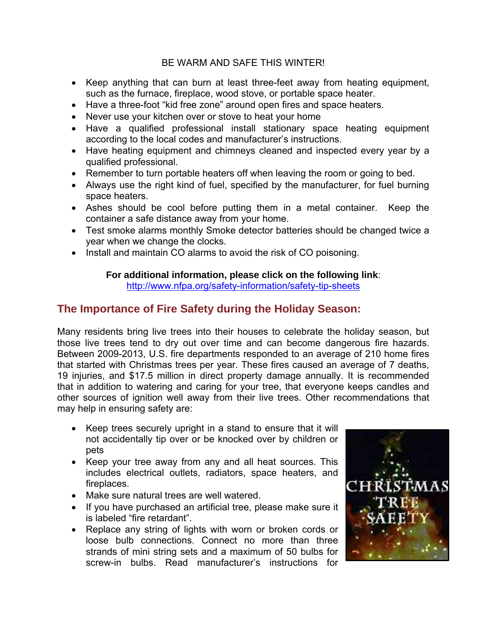#### BE WARM AND SAFE THIS WINTER!

- Keep anything that can burn at least three-feet away from heating equipment, such as the furnace, fireplace, wood stove, or portable space heater.
- Have a three-foot "kid free zone" around open fires and space heaters.
- Never use your kitchen over or stove to heat your home
- Have a qualified professional install stationary space heating equipment according to the local codes and manufacturer's instructions.
- Have heating equipment and chimneys cleaned and inspected every year by a qualified professional.
- Remember to turn portable heaters off when leaving the room or going to bed.
- Always use the right kind of fuel, specified by the manufacturer, for fuel burning space heaters.
- Ashes should be cool before putting them in a metal container. Keep the container a safe distance away from your home.
- Test smoke alarms monthly Smoke detector batteries should be changed twice a year when we change the clocks.
- Install and maintain CO alarms to avoid the risk of CO poisoning.

### **For additional information, please click on the following link**:

<http://www.nfpa.org/safety-information/safety-tip-sheets>

# **The Importance of Fire Safety during the Holiday Season:**

Many residents bring live trees into their houses to celebrate the holiday season, but those live trees tend to dry out over time and can become dangerous fire hazards. Between 2009-2013, U.S. fire departments responded to an average of 210 home fires that started with Christmas trees per year. These fires caused an average of 7 deaths, 19 injuries, and \$17.5 million in direct property damage annually. It is recommended that in addition to watering and caring for your tree, that everyone keeps candles and other sources of ignition well away from their live trees. Other recommendations that may help in ensuring safety are:

- Keep trees securely upright in a stand to ensure that it will not accidentally tip over or be knocked over by children or pets
- Keep your tree away from any and all heat sources. This includes electrical outlets, radiators, space heaters, and fireplaces.
- Make sure natural trees are well watered.
- If you have purchased an artificial tree, please make sure it is labeled "fire retardant".
- Replace any string of lights with worn or broken cords or loose bulb connections. Connect no more than three strands of mini string sets and a maximum of 50 bulbs for screw-in bulbs. Read manufacturer's instructions for